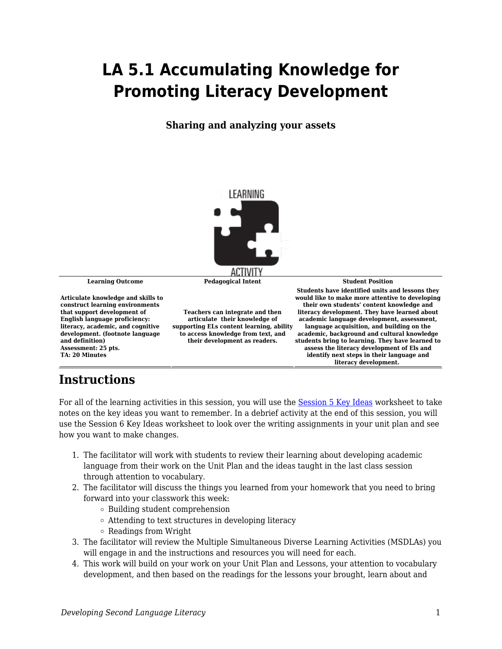## **LA 5.1 Accumulating Knowledge for Promoting Literacy Development**

## **Sharing and analyzing your assets**



## **Instructions**

For all of the learning activities in this session, you will use the [Session 5 Key Ideas](https://byu.box.com/s/qqozor1e2xfo48pr6ymnxqx1cjcle8rp) worksheet to take notes on the key ideas you want to remember. In a debrief activity at the end of this session, you will use the Session 6 Key Ideas worksheet to look over the writing assignments in your unit plan and see how you want to make changes.

- 1. The facilitator will work with students to review their learning about developing academic language from their work on the Unit Plan and the ideas taught in the last class session through attention to vocabulary.
- 2. The facilitator will discuss the things you learned from your homework that you need to bring forward into your classwork this week:
	- Building student comprehension
	- Attending to text structures in developing literacy
	- Readings from Wright
- 3. The facilitator will review the Multiple Simultaneous Diverse Learning Activities (MSDLAs) you will engage in and the instructions and resources you will need for each.
- 4. This work will build on your work on your Unit Plan and Lessons, your attention to vocabulary development, and then based on the readings for the lessons your brought, learn about and